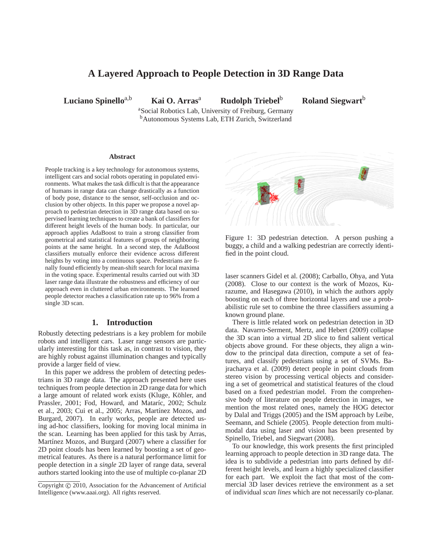# **A Layered Approach to People Detection in 3D Range Data**

**Luciano Spinello**a,b **Kai O. Arras**<sup>a</sup> **Rudolph Triebel**<sup>b</sup> **Roland Siegwart**<sup>b</sup>

<sup>a</sup>Social Robotics Lab, University of Freiburg, Germany <sup>b</sup>Autonomous Systems Lab, ETH Zurich, Switzerland

#### **Abstract**

People tracking is a key technology for autonomous systems, intelligent cars and social robots operating in populated environments. What makes the task difficult is that the appearance of humans in range data can change drastically as a function of body pose, distance to the sensor, self-occlusion and occlusion by other objects. In this paper we propose a novel approach to pedestrian detection in 3D range data based on supervised learning techniques to create a bank of classifiers for different height levels of the human body. In particular, our approach applies AdaBoost to train a strong classifier from geometrical and statistical features of groups of neighboring points at the same height. In a second step, the AdaBoost classifiers mutually enforce their evidence across different heights by voting into a continuous space. Pedestrians are finally found efficiently by mean-shift search for local maxima in the voting space. Experimental results carried out with 3D laser range data illustrate the robustness and efficiency of our approach even in cluttered urban environments. The learned people detector reaches a classification rate up to 96% from a single 3D scan.

#### **1. Introduction**

Robustly detecting pedestrians is a key problem for mobile robots and intelligent cars. Laser range sensors are particularly interesting for this task as, in contrast to vision, they are highly robust against illumination changes and typically provide a larger field of view.

In this paper we address the problem of detecting pedestrians in 3D range data. The approach presented here uses techniques from people detection in 2D range data for which a large amount of related work exists (Kluge, Köhler, and Prassler, 2001; Fod, Howard, and Mataríc, 2002; Schulz et al., 2003; Cui et al., 2005; Arras, Martínez Mozos, and Burgard, 2007). In early works, people are detected using ad-hoc classifiers, looking for moving local minima in the scan. Learning has been applied for this task by Arras, Martínez Mozos, and Burgard (2007) where a classifier for 2D point clouds has been learned by boosting a set of geometrical features. As there is a natural performance limit for people detection in a *single* 2D layer of range data, several authors started looking into the use of multiple co-planar 2D



Figure 1: 3D pedestrian detection. A person pushing a buggy, a child and a walking pedestrian are correctly identified in the point cloud.

laser scanners Gidel et al. (2008); Carballo, Ohya, and Yuta (2008). Close to our context is the work of Mozos, Kurazume, and Hasegawa (2010), in which the authors apply boosting on each of three horizontal layers and use a probabilistic rule set to combine the three classifiers assuming a known ground plane.

There is little related work on pedestrian detection in 3D data. Navarro-Serment, Mertz, and Hebert (2009) collapse the 3D scan into a virtual 2D slice to find salient vertical objects above ground. For these objects, they align a window to the principal data direction, compute a set of features, and classify pedestrians using a set of SVMs. Bajracharya et al. (2009) detect people in point clouds from stereo vision by processing vertical objects and considering a set of geometrical and statistical features of the cloud based on a fixed pedestrian model. From the comprehensive body of literature on people detection in images, we mention the most related ones, namely the HOG detector by Dalal and Triggs (2005) and the ISM approach by Leibe, Seemann, and Schiele (2005). People detection from multimodal data using laser and vision has been presented by Spinello, Triebel, and Siegwart (2008).

To our knowledge, this work presents the first principled learning approach to people detection in 3D range data. The idea is to subdivide a pedestrian into parts defined by different height levels, and learn a highly specialized classifier for each part. We exploit the fact that most of the commercial 3D laser devices retrieve the environment as a set of individual *scan lines* which are not necessarily co-planar.

Copyright © 2010, Association for the Advancement of Artificial Intelligence (www.aaai.org). All rights reserved.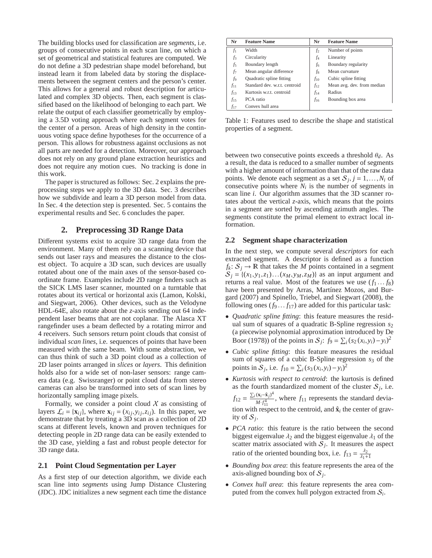The building blocks used for classification are *segments*, i.e. groups of consecutive points in each scan line, on which a set of geometrical and statistical features are computed. We do not define a 3D pedestrian shape model beforehand, but instead learn it from labeled data by storing the displacements between the segment centers and the person's center. This allows for a general and robust description for articulated and complex 3D objects. Then, each segment is classified based on the likelihood of belonging to each part. We relate the output of each classifier geometrically by employing a 3.5D voting approach where each segment votes for the center of a person. Areas of high density in the continuous voting space define hypotheses for the occurrence of a person. This allows for robustness against occlusions as not all parts are needed for a detection. Moreover, our approach does not rely on any ground plane extraction heuristics and does not require any motion cues. No tracking is done in this work.

The paper is structured as follows: Sec. 2 explains the preprocessing steps we apply to the 3D data. Sec. 3 describes how we subdivide and learn a 3D person model from data. In Sec. 4 the detection step is presented. Sec. 5 contains the experimental results and Sec. 6 concludes the paper.

## **2. Preprocessing 3D Range Data**

Different systems exist to acquire 3D range data from the environment. Many of them rely on a scanning device that sends out laser rays and measures the distance to the closest object. To acquire a 3D scan, such devices are usually rotated about one of the main axes of the sensor-based coordinate frame. Examples include 2D range finders such as the SICK LMS laser scanner, mounted on a turntable that rotates about its vertical or horizontal axis (Lamon, Kolski, and Siegwart, 2006). Other devices, such as the Velodyne HDL-64E, also rotate about the *z*-axis sending out 64 independent laser beams that are not coplanar. The Alasca XT rangefinder uses a beam deflected by a rotating mirror and 4 receivers. Such sensors return point clouds that consist of individual *scan lines*, i.e. sequences of points that have been measured with the same beam. With some abstraction, we can thus think of such a 3D point cloud as a collection of 2D laser points arranged in *slices* or *layers*. This definition holds also for a wide set of non-laser sensors: range camera data (e.g. Swissranger) or point cloud data from stereo cameras can also be transformed into sets of scan lines by horizontally sampling image pixels.

Formally, we consider a point cloud  $X$  as consisting of layers  $\mathcal{L}_i = {\mathbf{x}_{ij}}$ , where  $\mathbf{x}_{ij} = (x_{ij}, y_{ij}, z_{ij})$ . In this paper, we demonstrate that by treating a 3D scan as a collection of 2D scans at different levels, known and proven techniques for detecting people in 2D range data can be easily extended to the 3D case, yielding a fast and robust people detector for 3D range data.

## **2.1 Point Cloud Segmentation per Layer**

As a first step of our detection algorithm, we divide each scan line into *segments* using Jump Distance Clustering (JDC). JDC initializes a new segment each time the distance

| Nr       | <b>Feature Name</b>           | Nr       | <b>Feature Name</b>        |
|----------|-------------------------------|----------|----------------------------|
| $f_1$    | Width                         | $f_2$    | Number of points           |
| $f_3$    | Circularity                   | f4       | Linearity                  |
| f5       | Boundary length               | f6       | Boundary regularity        |
| f7       | Mean angular difference       | $f_8$    | Mean curvature             |
| f9       | Quadratic spline fitting      | $f_{10}$ | Cubic spline fitting       |
| $f_{11}$ | Standard dev. w.r.t. centroid | $f_{12}$ | Mean avg. dev. from median |
| $f_{13}$ | Kurtosis w.r.t. centroid      | $f_{14}$ | Radius                     |
| $f_{15}$ | PCA ratio                     | $f_{16}$ | Bounding box area          |
| f17      | Convex hull area              |          |                            |

Table 1: Features used to describe the shape and statistical properties of a segment.

between two consecutive points exceeds a threshold θ*d*. As a result, the data is reduced to a smaller number of segments with a higher amount of information than that of the raw data points. We denote each segment as a set  $S_j$ ,  $j = 1, ..., N_i$  of consecutive points where  $N_i$  is the number of segments in scan line *i*. Our algorithm assumes that the 3D scanner rotates about the vertical *z*-axis, which means that the points in a segment are sorted by ascending azimuth angles. The segments constitute the primal element to extract local information.

#### **2.2 Segment shape characterization**

In the next step, we compute several *descriptors* for each extracted segment. A descriptor is defined as a function  $f_k: S_j \to \mathbb{R}$  that takes the *M* points contained in a segment  $S_j = \{(x_1, y_1, z_1) \dots (x_M, y_M, z_M)\}\$ as an input argument and returns a real value. Most of the features we use  $(f_1 \dots f_8)$ have been presented by Arras, Martínez Mozos, and Burgard (2007) and Spinello, Triebel, and Siegwart (2008), the following ones  $(f_9 \dots f_{17})$  are added for this particular task:

- *Quadratic spline fitting*: this feature measures the residual sum of squares of a quadratic B-Spline regression *s*<sup>2</sup> (a piecewise polynomial approximation introduced by De Boor (1978)) of the points in  $S_j$ :  $f_9 = \sum_i (s_2(x_i, y_i) - y_i)^2$
- *Cubic spline fitting*: this feature measures the residual sum of squares of a cubic B-Spline regression *s*<sup>3</sup> of the points in  $S_j$ , i.e.  $f_{10} = \sum_i (s_3(x_i, y_i) - y_i)^2$
- *Kurtosis with respect to centroid*: the kurtosis is defined as the fourth standardized moment of the cluster  $S_j$ , i.e.  $f_{12} = \frac{\sum_i (\mathbf{x}_i - \hat{\mathbf{x}}_j)^4}{M \cdot f^4}$  $\frac{(A_i - A_j)}{M \cdot f_{11}^4}$ , where  $f_{11}$  represents the standard deviation with respect to the centroid, and  $\hat{\mathbf{x}}_i$  the center of gravity of  $S_j$ .
- *PCA ratio*: this feature is the ratio between the second biggest eigenvalue  $\lambda_2$  and the biggest eigenvalue  $\lambda_1$  of the scatter matrix associated with  $S_j$ . It measures the aspect ratio of the oriented bounding box, i.e.  $f_{13} = \frac{\lambda_2}{\lambda_1 + 1}$
- *Bounding box area*: this feature represents the area of the axis-aligned bounding box of  $S_j$ .
- *Convex hull area*: this feature represents the area computed from the convex hull polygon extracted from S*<sup>i</sup>* .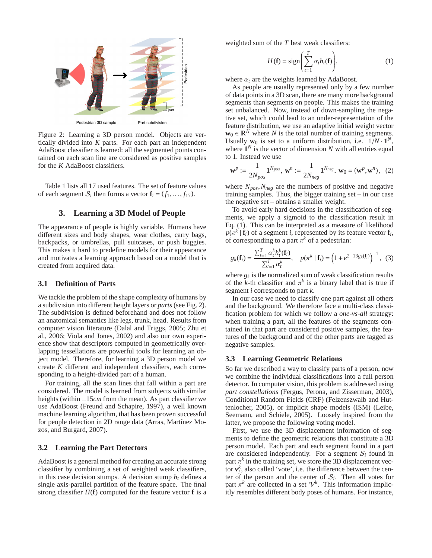

Figure 2: Learning a 3D person model. Objects are vertically divided into *K* parts. For each part an independent AdaBoost classifier is learned: all the segmented points contained on each scan line are considered as positive samples for the *K* AdaBoost classifiers.

Table 1 lists all 17 used features. The set of feature values of each segment  $S_i$  then forms a vector  $\mathbf{f}_i = (f_1, \ldots, f_{17})$ .

## **3. Learning a 3D Model of People**

The appearance of people is highly variable. Humans have different sizes and body shapes, wear clothes, carry bags, backpacks, or umbrellas, pull suitcases, or push buggies. This makes it hard to predefine models for their appearance and motivates a learning approach based on a model that is created from acquired data.

#### **3.1 Definition of Parts**

We tackle the problem of the shape complexity of humans by a subdivision into different height layers or *parts*(see Fig. 2). The subdivision is defined beforehand and does not follow an anatomical semantics like legs, trunk, head. Results from computer vision literature (Dalal and Triggs, 2005; Zhu et al., 2006; Viola and Jones, 2002) and also our own experience show that descriptors computed in geometrically overlapping tessellations are powerful tools for learning an object model. Therefore, for learning a 3D person model we create *K* different and independent classifiers, each corresponding to a height-divided part of a human.

For training, all the scan lines that fall within a part are considered. The model is learned from subjects with similar heights (within ±15*cm* from the mean). As part classifier we use AdaBoost (Freund and Schapire, 1997), a well known machine learning algorithm, that has been proven successful for people detection in 2D range data (Arras, Martínez Mozos, and Burgard, 2007).

#### **3.2 Learning the Part Detectors**

AdaBoost is a general method for creating an accurate strong classifier by combining a set of weighted weak classifiers, in this case decision stumps. A decision stump  $h_t$  defines a single axis-parallel partition of the feature space. The final strong classifier  $H(f)$  computed for the feature vector  $f$  is a

weighted sum of the *T* best weak classifiers:

$$
H(\mathbf{f}) = \text{sign}\left(\sum_{t=1}^{T} \alpha_t h_t(\mathbf{f})\right),\tag{1}
$$

where  $\alpha_t$  are the weights learned by AdaBoost.

As people are usually represented only by a few number of data points in a 3D scan, there are many more background segments than segments on people. This makes the training set unbalanced. Now, instead of down-sampling the negative set, which could lead to an under-representation of the feature distribution, we use an adaptive initial weight vector  $\mathbf{w}_0 \in \mathbb{R}^N$  where *N* is the total number of training segments. Usually  $\mathbf{w}_0$  is set to a uniform distribution, i.e.  $1/N \cdot 1^N$ , where  $\mathbf{1}^N$  is the vector of dimension N with all entries equal to 1. Instead we use

$$
\mathbf{w}^{p} := \frac{1}{2N_{pos}} \mathbf{1}^{N_{pos}}, \ \mathbf{w}^{n} := \frac{1}{2N_{neg}} \mathbf{1}^{N_{neg}}, \ \mathbf{w}_{0} = (\mathbf{w}^{p}, \mathbf{w}^{n}), \tag{2}
$$

where *Npos*,*Nneg* are the numbers of positive and negative training samples. Thus, the bigger training set – in our case the negative set – obtains a smaller weight.

To avoid early hard decisions in the classification of segments, we apply a sigmoid to the classification result in Eq. (1). This can be interpreted as a measure of likelihood  $p(\pi^k | \mathbf{f}_i)$  of a segment *i*, represented by its feature vector  $\mathbf{f}_i$ , of corresponding to a part  $\pi^k$  of a pedestrian:

$$
g_k(\mathbf{f}_i) = \frac{\sum_{t=1}^T \alpha_t^k h_t^k(\mathbf{f}_i)}{\sum_{t=1}^T \alpha_t^k}, \quad p(\pi^k \mid \mathbf{f}_i) = \left(1 + e^{2 - 13g_k(\mathbf{f}_i)}\right)^{-1}, \tag{3}
$$

where  $g_k$  is the normalized sum of weak classification results of the *k*-th classifier and  $\pi^k$  is a binary label that is true if segment *i* corresponds to part *k*.

In our case we need to classify one part against all others and the background. We therefore face a multi-class classification problem for which we follow a *one-vs-all* strategy: when training a part, all the features of the segments contained in that part are considered positive samples, the features of the background and of the other parts are tagged as negative samples.

#### **3.3 Learning Geometric Relations**

So far we described a way to classify parts of a person, now we combine the individual classifications into a full person detector. In computer vision, this problem is addressed using *part constellations* (Fergus, Perona, and Zisserman, 2003), Conditional Random Fields (CRF) (Felzenszwalb and Huttenlocher, 2005), or implicit shape models (ISM) (Leibe, Seemann, and Schiele, 2005). Loosely inspired from the latter, we propose the following voting model.

First, we use the 3D displacement information of segments to define the geometric relations that constitute a 3D person model. Each part and each segment found in a part are considered independently. For a segment  $S_i$  found in part  $\pi^k$  in the training set, we store the 3D displacement vecfor  $\mathbf{v}_i^k$ , also called 'vote', i.e. the difference between the center of the person and the center of  $S_i$ . Then all votes for part  $\pi^k$  are collected in a set  $\mathcal{V}^k$ . This information implicitly resembles different body poses of humans. For instance,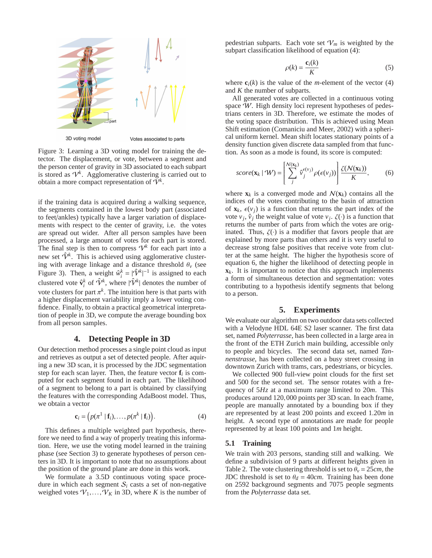

Votes associated to parts

Figure 3: Learning a 3D voting model for training the detector. The displacement, or vote, between a segment and the person center of gravity in 3D associated to each subpart is stored as  $\mathcal{V}^k$ . Agglomerative clustering is carried out to obtain a more compact representation of  $\tilde{\mathcal{V}}^k$ .

if the training data is acquired during a walking sequence, the segments contained in the lowest body part (associated to feet/ankles) typically have a larger variation of displacements with respect to the center of gravity, i.e. the votes are spread out wider. After all person samples have been processed, a large amount of votes for each part is stored. The final step is then to compress  $\mathcal{V}^k$  for each part into a new set  $\hat{V}^k$ . This is achieved using agglomerative clustering with average linkage and a distance threshold  $\theta_\nu$  (see Figure 3). Then, a weight  $\hat{w}_i^k = |\hat{V}^k|^{-1}$  is assigned to each | clustered vote  $\hat{\mathbf{v}}_i^k$  of  $\hat{\mathcal{V}}^k$ , where  $|\hat{\mathcal{V}}^k|$  denotes the number of vote clusters for part  $\pi^k$ . The intuition here is that parts with a higher displacement variability imply a lower voting confidence. Finally, to obtain a practical geometrical interpretation of people in 3D, we compute the average bounding box from all person samples.

### **4. Detecting People in 3D**

Our detection method processes a single point cloud as input and retrieves as output a set of detected people. After aquiring a new 3D scan, it is processed by the JDC segmentation step for each scan layer. Then, the feature vector  $f_i$  is computed for each segment found in each part. The likelihood of a segment to belong to a part is obtained by classifying the features with the corresponding AdaBoost model. Thus, we obtain a vector

$$
\mathbf{c}_i = \left( p(\pi^1 \mid \mathbf{f}_i), \dots, p(\pi^k \mid \mathbf{f}_i) \right). \tag{4}
$$

This defines a multiple weighted part hypothesis, therefore we need to find a way of properly treating this information. Here, we use the voting model learned in the training phase (see Section 3) to generate hypotheses of person centers in 3D. It is important to note that no assumptions about the position of the ground plane are done in this work.

We formulate a 3.5D continuous voting space procedure in which each segment  $S_i$  casts a set of non-negative weighed votes  $V_1, \ldots, V_K$  in 3D, where *K* is the number of

pedestrian subparts. Each vote set  $V_m$  is weighted by the subpart classification likelihood of equation (4):

$$
\rho(k) = \frac{\mathbf{c}_i(k)}{K} \tag{5}
$$

where  $\mathbf{c}_i(k)$  is the value of the *m*-element of the vector (4) and *K* the number of subparts.

All generated votes are collected in a continuous voting space W. High density loci represent hypotheses of pedestrians centers in 3D. Therefore, we estimate the modes of the voting space distribution. This is achieved using Mean Shift estimation (Comaniciu and Meer, 2002) with a spherical uniform kernel. Mean shift locates stationary points of a density function given discrete data sampled from that function. As soon as a mode is found, its score is computed:

$$
score(\mathbf{x}_k \mid \mathcal{W}) = \left[ \sum_j^{N(\mathbf{x}_k)} \hat{v}_j^{\epsilon(v_j)} \rho(\epsilon(v_j)) \right] \frac{\zeta(N(\mathbf{x}_k))}{K}, \quad (6)
$$

where  $\mathbf{x}_k$  is a converged mode and  $\mathcal{N}(\mathbf{x}_k)$  contains all the indices of the votes contributing to the basin of attraction of  $\mathbf{x}_k$ ,  $\epsilon(v_i)$  is a function that returns the part index of the vote  $v_j$ ,  $\hat{v}_j$  the weight value of vote  $v_j$ .  $\zeta(\cdot)$  is a function that returns the number of parts from which the votes are originated. Thus,  $\zeta(\cdot)$  is a modifier that favors people that are explained by more parts than others and it is very useful to decrease strong false positives that receive vote from clutter at the same height. The higher the hypothesis score of equation 6, the higher the likelihood of detecting people in  $\mathbf{x}_k$ . It is important to notice that this approach implements a form of simultaneous detection and segmentation: votes contributing to a hypothesis identify segments that belong to a person.

## **5. Experiments**

We evaluate our algorithm on two outdoor data sets collected with a Velodyne HDL 64E S2 laser scanner. The first data set, named *Polyterrasse*, has been collected in a large area in the front of the ETH Zurich main building, accessible only to people and bicycles. The second data set, named *Tannenstrasse*, has been collected on a busy street crossing in downtown Zurich with trams, cars, pedestrians, or bicycles.

We collected 900 full-view point clouds for the first set and 500 for the second set. The sensor rotates with a frequency of 5*Hz* at a maximum range limited to 20*m*. This produces around 120,000 points per 3D scan. In each frame, people are manually annotated by a bounding box if they are represented by at least 200 points and exceed 1.20*m* in height. A second type of annotations are made for people represented by at least 100 points and 1*m* height.

#### **5.1 Training**

We train with 203 persons, standing still and walking. We define a subdivision of 9 parts at different heights given in Table 2. The vote clustering threshold is set to  $\theta$ <sup>*v*</sup> = 25*cm*, the JDC threshold is set to  $\theta_d = 40$ *cm*. Training has been done on 2592 background segments and 7075 people segments from the *Polyterrasse* data set.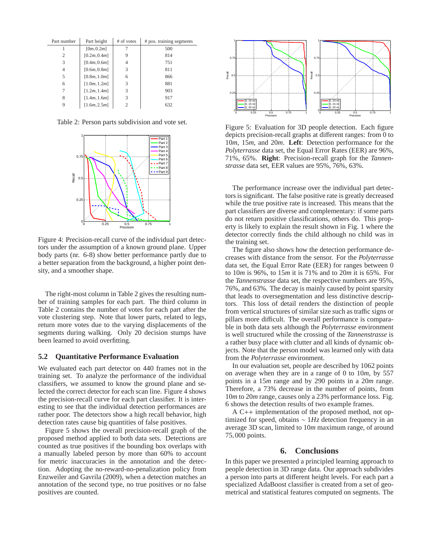| Part number    | Part height  | # of votes | # pos. training segments |
|----------------|--------------|------------|--------------------------|
|                | [0m, 0.2m]   |            | 500                      |
| $\overline{c}$ | [0.2m, 0.4m] | 9          | 814                      |
| 3              | [0.4m, 0.6m] | 4          | 751                      |
| 4              | [0.6m, 0.8m] | 3          | 811                      |
| 5              | [0.8m, 1.0m] | 6          | 866                      |
| 6              | [1.0m, 1.2m] | 3          | 881                      |
| 7              | [1.2m, 1.4m] | 3          | 903                      |
| 8              | [1.4m, 1.6m] | 3          | 917                      |
| 9              | [1.6m, 2.5m] | 2          | 632                      |

Table 2: Person parts subdivision and vote set.



Figure 4: Precision-recall curve of the individual part detectors under the assumption of a known ground plane. Upper body parts (nr. 6-8) show better performance partly due to a better separation from the background, a higher point density, and a smoother shape.

The right-most column in Table 2 gives the resulting number of training samples for each part. The third column in Table 2 contains the number of votes for each part after the vote clustering step. Note that lower parts, related to legs, return more votes due to the varying displacements of the segments during walking. Only 20 decision stumps have been learned to avoid overfitting.

#### **5.2 Quantitative Performance Evaluation**

We evaluated each part detector on 440 frames not in the training set. To analyze the performance of the individual classifiers, we assumed to know the ground plane and selected the correct detector for each scan line. Figure 4 shows the precision-recall curve for each part classifier. It is interesting to see that the individual detection performances are rather poor. The detectors show a high recall behavior, high detection rates cause big quantities of false positives.

Figure 5 shows the overall precision-recall graph of the proposed method applied to both data sets. Detections are counted as true positives if the bounding box overlaps with a manually labeled person by more than 60% to account for metric inaccuracies in the annotation and the detection. Adopting the no-reward-no-penalization policy from Enzweiler and Gavrila (2009), when a detection matches an annotation of the second type, no true positives or no false positives are counted.



Figure 5: Evaluation for 3D people detection. Each figure depicts precision-recall graphs at different ranges: from 0 to 10*m*, 15*m*, and 20*m*. **Left**: Detection performance for the *Polyterrasse* data set, the Equal Error Rates (EER) are 96%, 71%, 65%. **Right**: Precision-recall graph for the *Tannenstrasse* data set, EER values are 95%, 76%, 63%.

The performance increase over the individual part detectors is significant. The false positive rate is greatly decreased while the true positive rate is increased. This means that the part classifiers are diverse and complementary: if some parts do not return positive classifications, others do. This property is likely to explain the result shown in Fig. 1 where the detector correctly finds the child although no child was in the training set.

The figure also shows how the detection performance decreases with distance from the sensor. For the *Polyterrasse* data set, the Equal Error Rate (EER) for ranges between 0 to 10*m* is 96%, to 15*m* it is 71% and to 20*m* it is 65%. For the *Tannenstrasse* data set, the respective numbers are 95%, 76%, and 63%. The decay is mainly caused by point sparsity that leads to oversegmentation and less distinctive descriptors. This loss of detail renders the distinction of people from vertical structures of similar size such as traffic signs or pillars more difficult. The overall performance is comparable in both data sets although the *Polyterrasse* environment is well structured while the crossing of the *Tannenstrasse* is a rather busy place with clutter and all kinds of dynamic objects. Note that the person model was learned only with data from the *Polyterrasse* environment.

In our evaluation set, people are described by 1062 points on average when they are in a range of 0 to 10*m*, by 557 points in a 15*m* range and by 290 points in a 20*m* range. Therefore, a 73% decrease in the number of points, from 10*m* to 20*m* range, causes only a 23% performance loss. Fig. 6 shows the detection results of two example frames.

A C++ implementation of the proposed method, not optimized for speed, obtains ∼ 1*Hz* detection frequency in an average 3D scan, limited to 10*m* maximum range, of around 75,000 points.

### **6. Conclusions**

In this paper we presented a principled learning approach to people detection in 3D range data. Our approach subdivides a person into parts at different height levels. For each part a specialized AdaBoost classifier is created from a set of geometrical and statistical features computed on segments. The